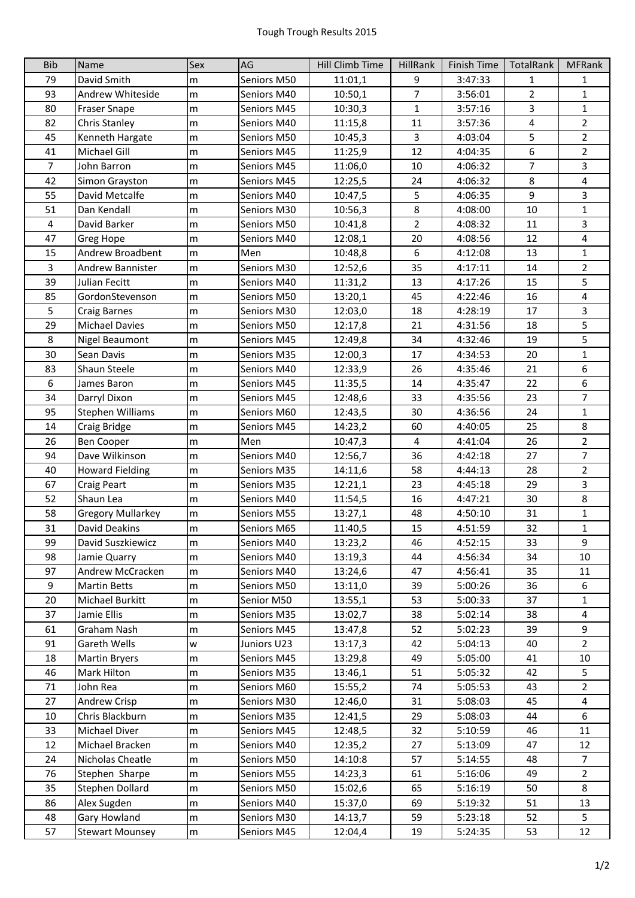| <b>Bib</b>              | Name                              | Sex            | AG                         | Hill Climb Time    | <b>HillRank</b> | Finish Time        | TotalRank      | <b>MFRank</b>       |
|-------------------------|-----------------------------------|----------------|----------------------------|--------------------|-----------------|--------------------|----------------|---------------------|
| 79                      | David Smith                       | m              | Seniors M50                | 11:01,1            | 9               | 3:47:33            | $\mathbf{1}$   | 1                   |
| 93                      | Andrew Whiteside                  | m              | Seniors M40                | 10:50,1            | $\overline{7}$  | 3:56:01            | $\overline{2}$ | $\mathbf{1}$        |
| 80                      | <b>Fraser Snape</b>               | m              | Seniors M45                | 10:30,3            | $\mathbf{1}$    | 3:57:16            | $\overline{3}$ | $\mathbf{1}$        |
| 82                      | Chris Stanley                     | m              | Seniors M40                | 11:15,8            | 11              | 3:57:36            | $\overline{4}$ | $\overline{2}$      |
| 45                      | Kenneth Hargate                   | m              | Seniors M50                | 10:45,3            | 3               | 4:03:04            | 5              | $\overline{2}$      |
| 41                      | Michael Gill                      | ${\sf m}$      | Seniors M45                | 11:25,9            | 12              | 4:04:35            | 6              | $\mathbf{2}$        |
| $\overline{7}$          | John Barron                       | m              | Seniors M45                | 11:06,0            | 10              | 4:06:32            | 7              | $\overline{3}$      |
| 42                      | Simon Grayston                    | m              | Seniors M45                | 12:25,5            | 24              | 4:06:32            | 8              | 4                   |
| 55                      | David Metcalfe                    | m              | Seniors M40                | 10:47,5            | 5               | 4:06:35            | 9              | $\overline{3}$      |
| 51                      | Dan Kendall                       | m              | Seniors M30                | 10:56,3            | $\,8\,$         | 4:08:00            | 10             | $\mathbf{1}$        |
| $\overline{\mathbf{4}}$ | David Barker                      | m              | Seniors M50                | 10:41,8            | $\overline{2}$  | 4:08:32            | 11             | $\overline{3}$      |
| 47                      | Greg Hope                         | m              | Seniors M40                | 12:08,1            | 20              | 4:08:56            | 12             | 4                   |
| 15                      | Andrew Broadbent                  | m              | Men                        | 10:48,8            | 6               | 4:12:08            | 13             | $\mathbf{1}$        |
| $\overline{3}$          | <b>Andrew Bannister</b>           | m              | Seniors M30                | 12:52,6            | 35              | 4:17:11            | 14             | $\mathbf{2}$        |
| 39                      | Julian Fecitt                     | m              | Seniors M40                | 11:31,2            | 13              | 4:17:26            | 15             | 5                   |
| 85                      | GordonStevenson                   | m              | Seniors M50                | 13:20,1            | 45              | 4:22:46            | 16             | 4                   |
| 5                       | Craig Barnes                      | ${\sf m}$      | Seniors M30                | 12:03,0            | 18              | 4:28:19            | 17             | $\overline{3}$      |
| 29                      | <b>Michael Davies</b>             | m              | Seniors M50                | 12:17,8            | 21              | 4:31:56            | 18             | 5                   |
| 8                       | Nigel Beaumont                    | m              | Seniors M45                | 12:49,8            | 34              | 4:32:46            | 19             | 5                   |
| 30                      | Sean Davis                        | m              | Seniors M35                | 12:00,3            | 17              | 4:34:53            | 20             | $\mathbf 1$         |
| 83                      | Shaun Steele                      | ${\sf m}$      | Seniors M40                | 12:33,9            | 26              | 4:35:46            | 21             | 6                   |
| 6                       | James Baron                       | m              | Seniors M45                | 11:35,5            | 14              | 4:35:47            | 22             | 6                   |
| 34                      | Darryl Dixon                      | m              | Seniors M45                | 12:48,6            | 33              | 4:35:56            | 23             | $\overline{7}$      |
| 95                      | <b>Stephen Williams</b>           | m              | Seniors M60                | 12:43,5            | 30              | 4:36:56            | 24             | $\mathbf{1}$        |
| 14                      | Craig Bridge                      | ${\sf m}$      | Seniors M45                | 14:23,2            | 60              | 4:40:05            | 25             | 8                   |
| 26                      | <b>Ben Cooper</b>                 | m              | Men                        | 10:47,3            | 4               | 4:41:04            | 26             | $\mathbf{2}$        |
| 94                      | Dave Wilkinson                    | m              | Seniors M40                | 12:56,7            | 36              | 4:42:18            | 27             | $\overline{7}$      |
| 40                      | <b>Howard Fielding</b>            | ${\sf m}$      | Seniors M35                | 14:11,6            | 58              | 4:44:13            | 28             | $\mathbf{2}$        |
| 67                      | Craig Peart                       | m              | Seniors M35                | 12:21,1            | 23              | 4:45:18            | 29             | $\overline{3}$      |
| 52                      | Shaun Lea                         | m              | Seniors M40                | 11:54,5            | 16              | 4:47:21            | 30             | $\overline{8}$      |
| 58                      | <b>Gregory Mullarkey</b>          | m              | Seniors M55                | 13:27,1            | 48              | 4:50:10            | 31             | $\mathbf{1}$        |
| 31                      | David Deakins                     | m              | Seniors M65                | 11:40,5            | 15              | 4:51:59            | 32             | $\mathbf{1}$        |
| 99                      | David Suszkiewicz                 | m              | Seniors M40                | 13:23,2            | 46              | 4:52:15            | 33             | 9                   |
| 98                      | Jamie Quarry                      | m              | Seniors M40                | 13:19,3            | 44              | 4:56:34            | 34             | 10                  |
| 97                      | Andrew McCracken                  | ${\sf m}$      | Seniors M40                | 13:24,6            | 47              | 4:56:41            | 35             | 11                  |
| 9                       | <b>Martin Betts</b>               | ${\sf m}$      | Seniors M50                | 13:11,0            | 39              | 5:00:26            | 36             | 6                   |
| 20                      | Michael Burkitt                   | m              | Senior M50                 | 13:55,1            | 53              | 5:00:33            | 37             | 1                   |
| 37                      | Jamie Ellis                       | m              | Seniors M35                | 13:02,7            | 38              | 5:02:14            | 38             | 4                   |
| 61                      | Graham Nash                       | ${\sf m}$      | Seniors M45                | 13:47,8            | 52              | 5:02:23            | 39             | 9                   |
| 91                      | Gareth Wells                      | W              | Juniors U23                | 13:17,3            | 42              | 5:04:13            | 40             | $\overline{2}$      |
| 18                      | <b>Martin Bryers</b>              | m              | Seniors M45                | 13:29,8            | 49              | 5:05:00            | 41             | 10                  |
| 46                      | Mark Hilton                       | m              | Seniors M35                | 13:46,1            | 51              | 5:05:32            | 42             | 5                   |
| 71                      | John Rea                          | m              | Seniors M60                | 15:55,2            | 74              | 5:05:53            | 43             | $\overline{2}$      |
| 27                      | Andrew Crisp                      | m              | Seniors M30                | 12:46,0            | 31              | 5:08:03            | 45             | 4                   |
| 10                      | Chris Blackburn                   | m              | Seniors M35                | 12:41,5            | 29              | 5:08:03            | 44             | 6                   |
| 33                      | Michael Diver                     | m              | Seniors M45                | 12:48,5            | 32              | 5:10:59            | 46             | 11                  |
| 12                      | Michael Bracken                   | ${\sf m}$      | Seniors M40                | 12:35,2            | 27              | 5:13:09            | 47             | 12                  |
| 24                      | Nicholas Cheatle                  | ${\sf m}$      | Seniors M50                | 14:10:8            | 57              | 5:14:55            | 48             | 7                   |
| 76<br>35                | Stephen Sharpe<br>Stephen Dollard | m              | Seniors M55<br>Seniors M50 | 14:23,3<br>15:02,6 | 61<br>65        | 5:16:06<br>5:16:19 | 49<br>50       | $\overline{2}$<br>8 |
| 86                      | Alex Sugden                       | m<br>${\sf m}$ | Seniors M40                | 15:37,0            | 69              | 5:19:32            | 51             | 13                  |
| 48                      | Gary Howland                      | ${\sf m}$      | Seniors M30                | 14:13,7            | 59              | 5:23:18            | 52             | 5                   |
| 57                      | <b>Stewart Mounsey</b>            | m              | Seniors M45                | 12:04,4            | 19              | 5:24:35            | 53             | 12                  |
|                         |                                   |                |                            |                    |                 |                    |                |                     |